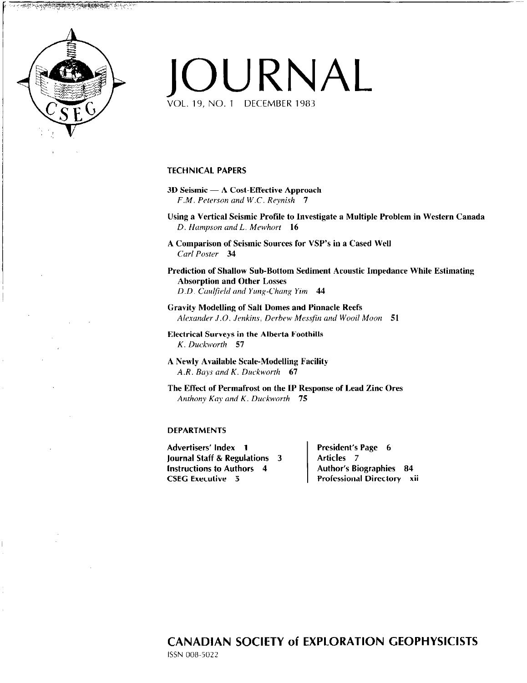# JOURNAL VOL. 19, NO. 1 DECEMBER 1983

TECHNICAL PAPERS

- 3D Seismic A Cost-Effective Approach F.M. Peterson and W.C. Reynish 7
- Using a Vertical Seismic Profile to Investigate a Multiple Problem in Western Canada D. Hampson and L. Mewhort 16
- A Comparison of Seismic Sources for VSP's in a Cased Well Carl Poster 34

Prediction of Shallow Sub-Bottom Sediment Acoustic Impedance While Estimating Absorption and Other Losses D.D. Caulfield and Yung-Chang Yim 44

Gravity Modelling of Salt Domes and Pinnacle Reefs Alexander J.O. Jenkins, Derbew Messfin and Wooil Moon 51

Electrical Surveys in the Alberta Foothills K. Duckworth 57

A Newly Available Scale-Modelling Facility A.R. Bays and K. Duckworth  $67$ 

The Effect of Permafrost on the IP Response of Lead Zinc Ores Anthony Kay and K. Duckworth  $75$ 

#### DEPARTMENTS

Advertisers' Index 1 President's Page 6 Journal Staff & Regulations  $3$  | Articles 7 Instructions to Authors 4 Author's Biographies 84 CSEC Executive 5 Professional Directory xii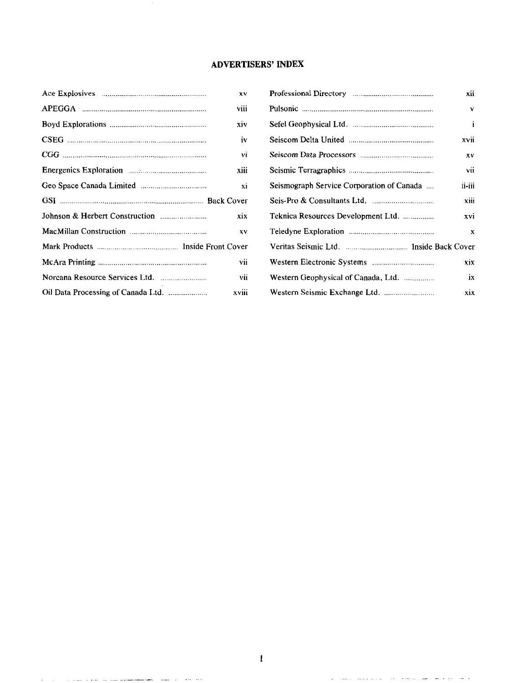### **ADVERTISERS' INDEX**

| XV    |  |  |
|-------|--|--|
| viii  |  |  |
| xiv   |  |  |
| iv    |  |  |
| vi    |  |  |
| xiii  |  |  |
| xi    |  |  |
|       |  |  |
| xix   |  |  |
| XV    |  |  |
|       |  |  |
| vii   |  |  |
| vii   |  |  |
| xviii |  |  |
|       |  |  |

والمراجع والرواد المسترد المعهد سنستعملهم للتساويل المتعرف السوفر والرادان والرادي

 $\sim$   $\sim$ 

| v  |                                           | xii          |
|----|-------------------------------------------|--------------|
| ij |                                           | $\mathbf{v}$ |
| v  |                                           | i            |
| v  |                                           | xvii         |
| À  |                                           | XV           |
| ii |                                           | vii          |
| ά  | Seismograph Service Corporation of Canada | ii-iii       |
| :r |                                           | xiii         |
| x  | Teknica Resources Development Ltd.        | xvi          |
| v  |                                           | X            |
| ٠r |                                           |              |
| ü  |                                           | xix.         |
| ii | Western Geophysical of Canada, Ltd.       | ix           |
| ίi |                                           | xix          |

المنافعة المعاونة الشرار الشرور المواطنة المتعاونة والمتواطن والمسترداري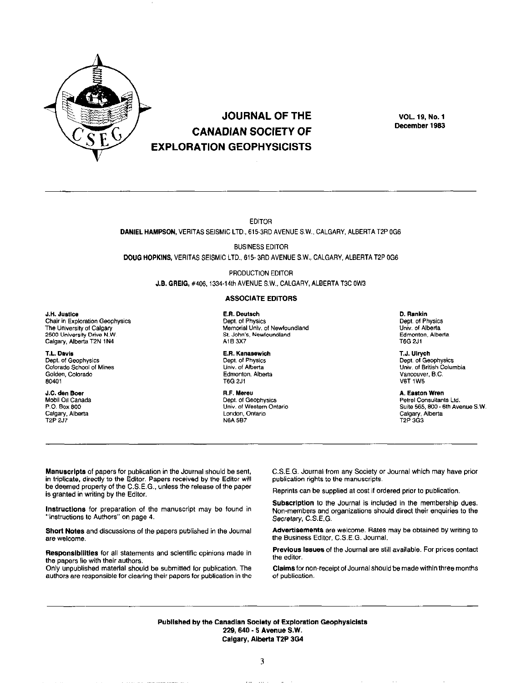

J.H. Justice

T.L. Dayis

80401

Chair in Exploration Geophysics

The University of Calgary

2500 University Drive N.W.

Calgary, Alberta T2N 1N4

Colorado School of Mines

Dept. of Geophysics

Golden, Colorado

J.C. den Boer

P.O. Box 800

T<sub>2</sub>P 2J7

Mobil Oil Canada

Calgary, Alberta

## **JOURNAL OF THE CANADIAN SOCIETY OF EXPLORATION GEOPHYSICISTS**

**VOL. 19, No. 1** December 1983

**EDITOR** DANIEL HAMPSON, VERITAS SEISMIC LTD., 615-3RD AVENUE S.W., CALGARY, ALBERTA T2P 0G6

**BUSINESS EDITOR** DOUG HOPKINS, VERITAS SEISMIC LTD., 615-3RD AVENUE S.W., CALGARY, ALBERTA T2P 0G6

> PRODUCTION EDITOR J.B. GREIG, #406, 1334-14th AVENUE S.W., CALGARY, ALBERTA T3C 0W3

#### **ASSOCIATE EDITORS**

E.R. Deutsch Dept. of Physics Memorial Univ. of Newfoundland St. John's, Newfoundland A1B 3X7

E.R. Kanasewich Dept. of Physics Univ. of Alberta Edmonton, Alberta T6G 2J1

R.F. Mereu Dept. of Geophysics Univ. of Western Ontario London, Ontario **N6A 5B7** 

D. Rankin Dept. of Physics Univ. of Alberta Edmonton, Alberta T6G 2J1

T.J. Ulrych Dept. of Geophysics Univ. of British Columbia Vancouver, B.C. **V6T 1W5** 

**A. Easton Wren** Petrel Consultants Ltd. Suite 565, 800 - 6th Avenue S.W. Calgary, Alberta T<sub>2</sub>P 3G<sub>3</sub>

Manuscripts of papers for publication in the Journal should be sent, in triplicate, directly to the Editor. Papers received by the Editor will be deemed property of the C.S.E.G., unless the release of the paper is granted in writing by the Editor.

Instructions for preparation of the manuscript may be found in "Instructions to Authors" on page 4.

Short Notes and discussions of the papers published in the Journal are welcome.

Responsibilities for all statements and scientific opinions made in the papers lie with their authors.

Only unpublished material should be submitted for publication. The authors are responsible for clearing their papers for publication in the C.S.E.G. Journal from any Society or Journal which may have prior publication rights to the manuscripts.

Reprints can be supplied at cost if ordered prior to publication.

Subscription to the Journal is included in the membership dues. Non-members and organizations should direct their enquiries to the Secretary, C.S.E.G.

Advertisements are welcome. Rates may be obtained by writing to the Business Editor, C.S.E.G. Journal.

Previous Issues of the Journal are still available. For prices contact the editor.

Claims for non-receipt of Journal should be made within three months of publication.

Published by the Canadian Society of Exploration Geophysicists 229, 640 - 5 Avenue S.W. Calgary, Alberta T2P 3G4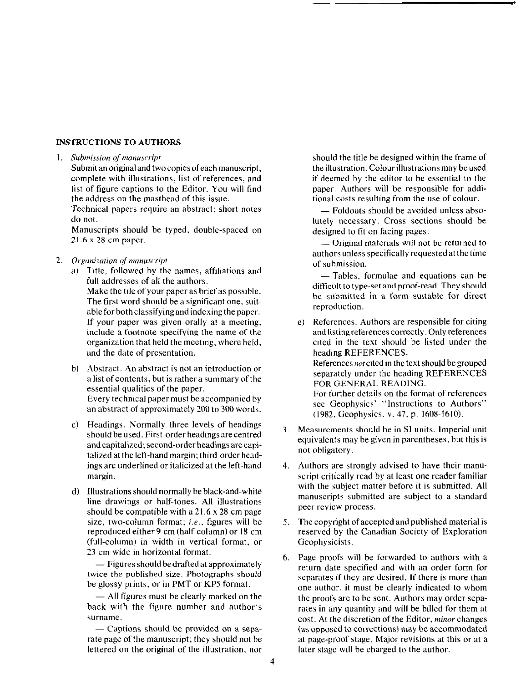### INSTRUCTlONS TO AUTHORS

#### 1. Submission of manuscript

Submit an original and two copies of each manuscript, complete with illustrations, list of references, and list of figure captions to the Editor. You will find the address on the masthead of this issue.

Technical papers require an abstract; short notes do not.

Manuscripts should be typed, double-spaced on 21.6 x 28 cm paper.

- 2. Organization of manuscript
	- a) Title, followed by the names, affiliations and full addresses of all the authors. Make the tile of your paper as brief as possible. The first word should be a significant one, suitable for bothclassifyingand indexing the paper. If your paper was given orally at a meeting, include a footnote specifying the name of the organization that held the meeting, where held, and the date of presentation.
	- Abstract. An abstract is not an introduction or a list of contents, but is rather a summary of the essential qualities of the paper. Every technical paper must be accompanied by an abstract of approximately 200 to 300 words.
	- C) Headings. Normally three levels of headings should be used. First-order headings are centred and capitalized; second-order headings are capitalized at the left-hand margin; third-order headings are underlined or italicized at the left-hand margin.
	- d) Illustrations should normally be black-and-whit line drawings or half-tones. All illustrations should be compatible with a 21.6 x 28 cm page size, two-column format; i.e., figures will be reproduced either 9 cm (half-column) or 18 cm (full-column) in width in vertical format, or 23 cm wide in horizontal format.

 $-$  Figures should be drafted at approximately twice the published size. Photographs should be glossy prints. or in PMT or KP5 format.

 $-$  All figures must be clearly marked on the back with the figure number and author's surname.

- Captions should be provided on a separate page of the manuscript; they should not be lettered on the original of the illustration, nor

should the title be designed within the frame of the illustration. Colour illustrations may be used if deemed by the editor to be essential to the paper. Authors will be responsible for additional costs resulting from the use of colour.

- Foldouts should be avoided unless absolutely necessary. Cross sections should be designed to fit on facing pages.

- Original materials will not be returned to authors unless specifically requested at the time of submission.

- Tables, formulae and equations can be difficult to type-set and proof-read. They should be submitted in a form suitable for direct reproduction.

- e) References. Authors are responsible for citing and listing references correctly. Only references cited in the text should be listed under the heading REFERENCES. References not cited in the text should be grouped separately under the heading REFERENCES FOR GENERAL READING. For further details on the format of references see Geophysics' "Instructions to Authors" (1982, Geophysics, v. 47, p. 1608-1610).
- Measurements should be in Sl units. Imperial unit 3. equivalents may be given in parentheses, but this is not obligatory.
- Authors are strongly advised to have their manuscript critically read by at least one reader familiar with the subject matter before it is submitted. All manuscripts submitted are subject to a standard peer review process.
- The copyright of accepted and published material is  $5.$ reserved by the Canadian Society of Exploration Geophysicists.
- Page proofs will be forwarded to authors with a return date specified and with an order form for separates if they are desired. If there is more than one author, it must be clearly indicated to whom the proofs are to be sent. Authors may order separates in any quantity and will be hilled for them at cost. At the discretion of the Editor, minor changes (as opposed to corrections) may be accommodated at page-proof stage. Major revisions at this or at a later stage will be charged to the author.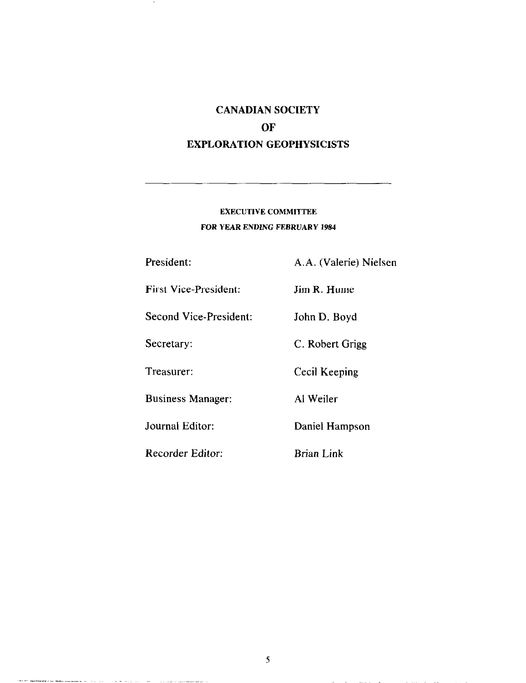## CANADIAN SOCIETY OF EXPLORATION GEOPHYSICISTS

## EXECUTIVE COMMITTEE FOR YEAR ENDING FEBRUARY 1984

President: A.A. (Valerie) Nielsen

First Vice-President: Jim R. Hume

Second Vice-President: John D. Boyd

Secretary: C. Robert Grigg

Treasurer: Cecil Keeping

الأردون والأراد والمستهينين وهضا وواويته

وستستشر وستراديا أرادا المرادي المداوية العارفان

Business Manager: Al Weiler

Journal Editor: Daniel Hampson

Recorder Editor: Brian Link

5